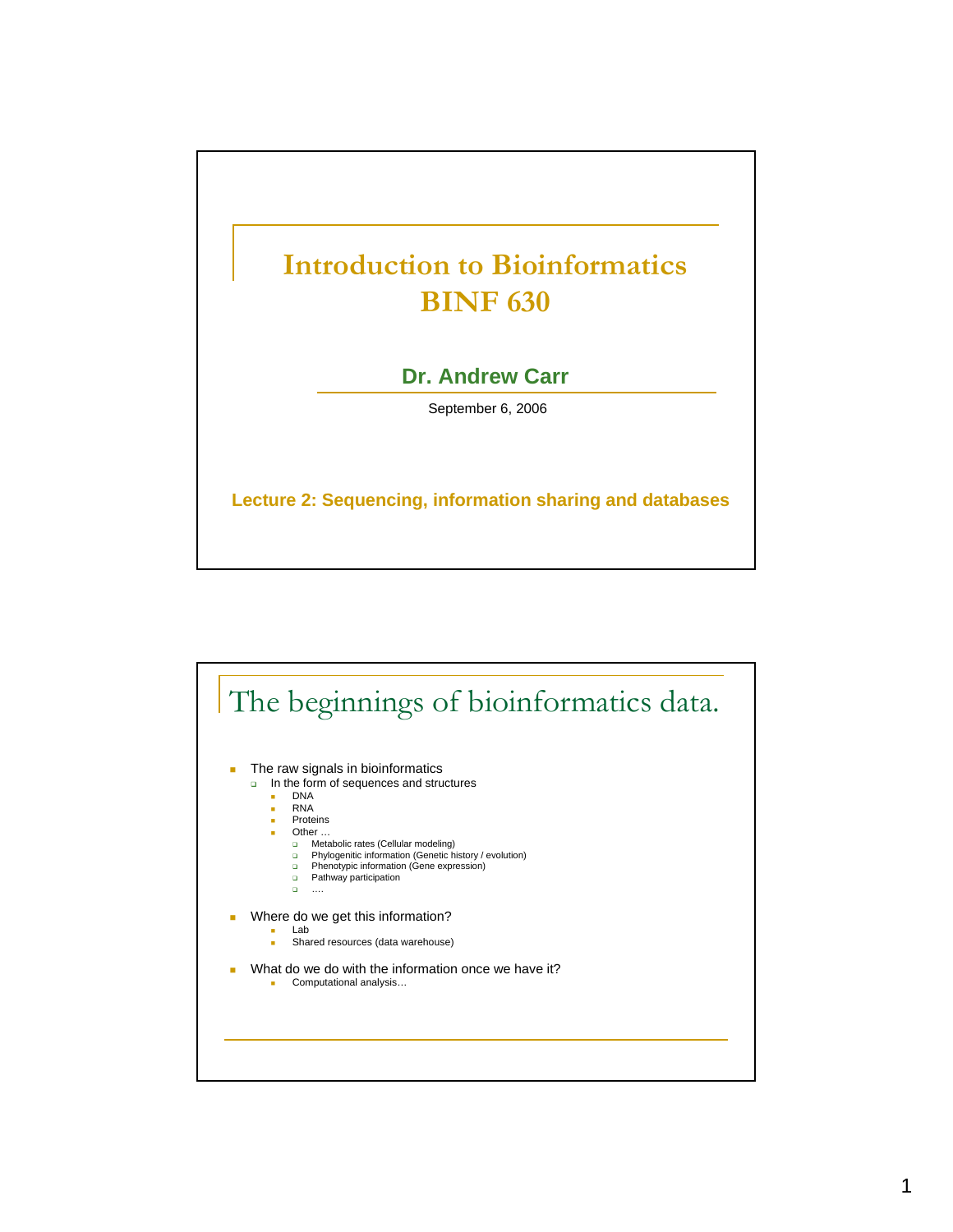

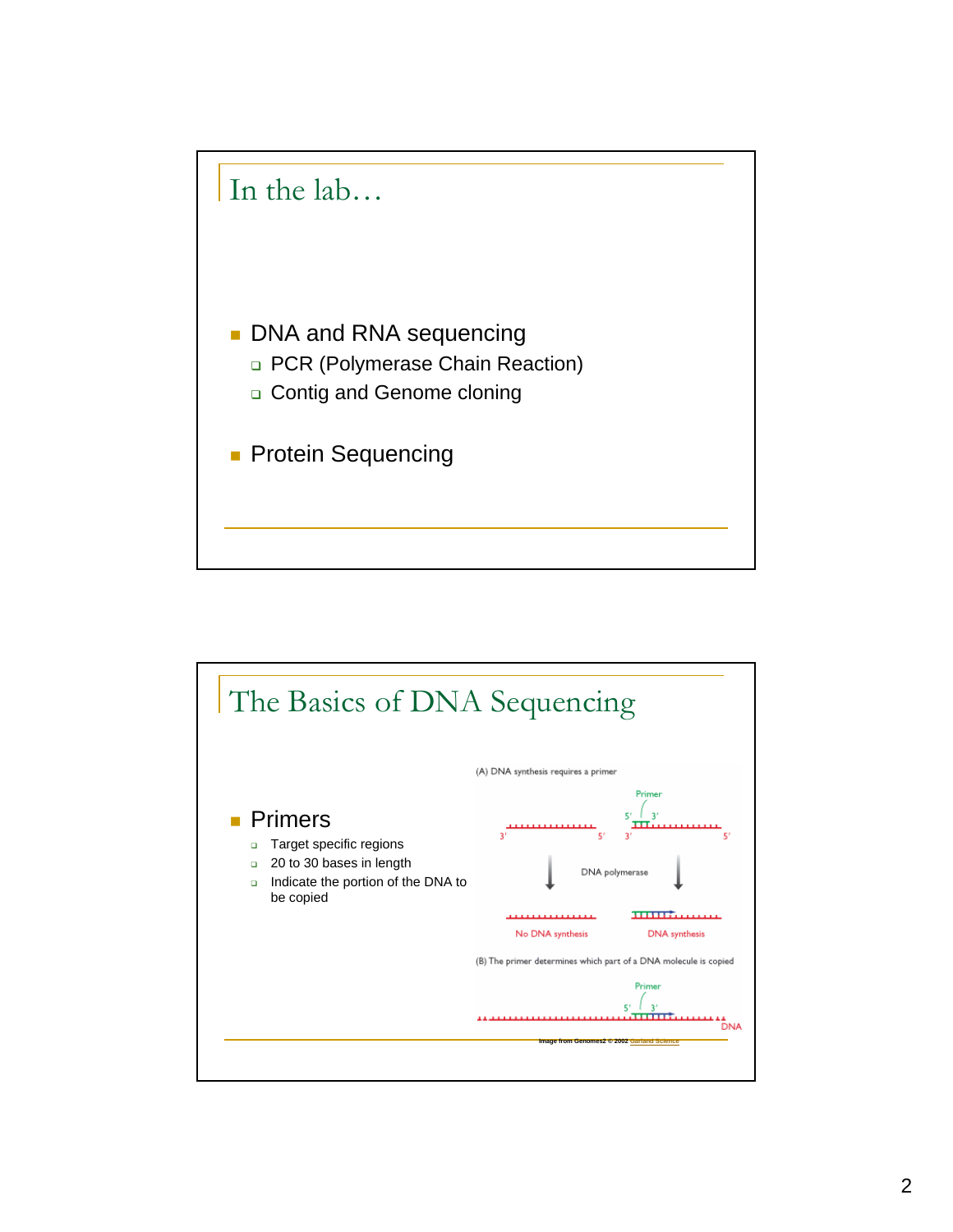

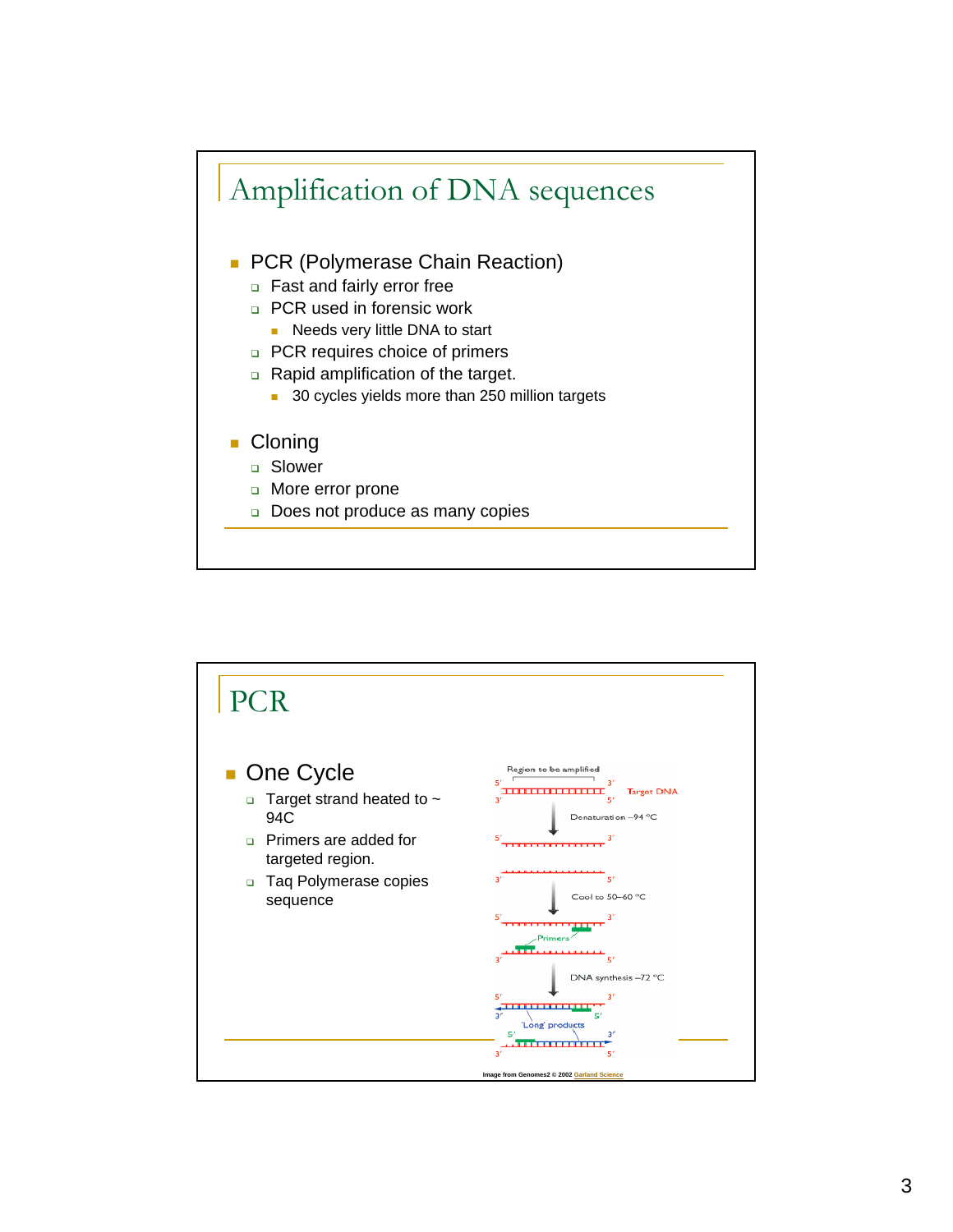

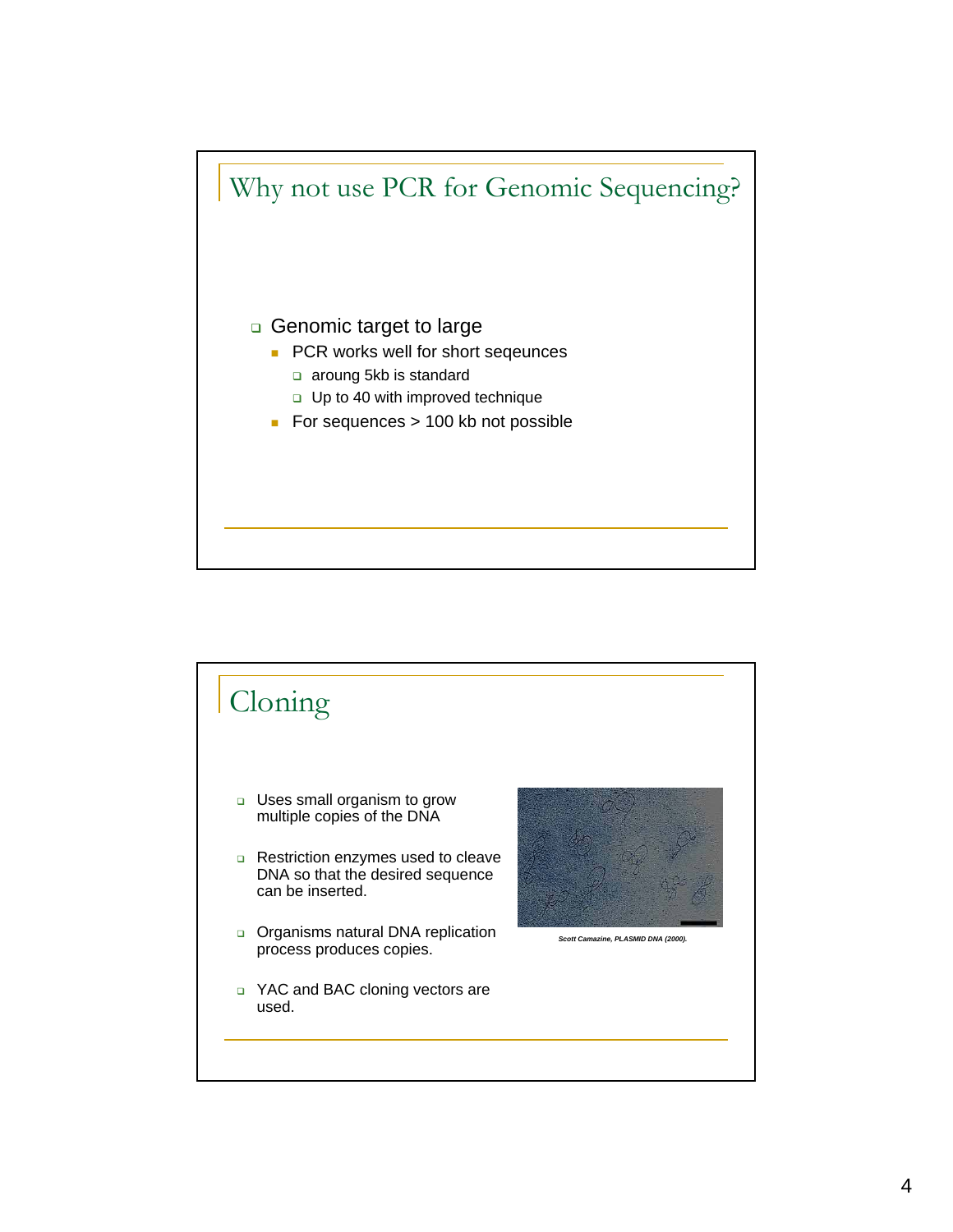

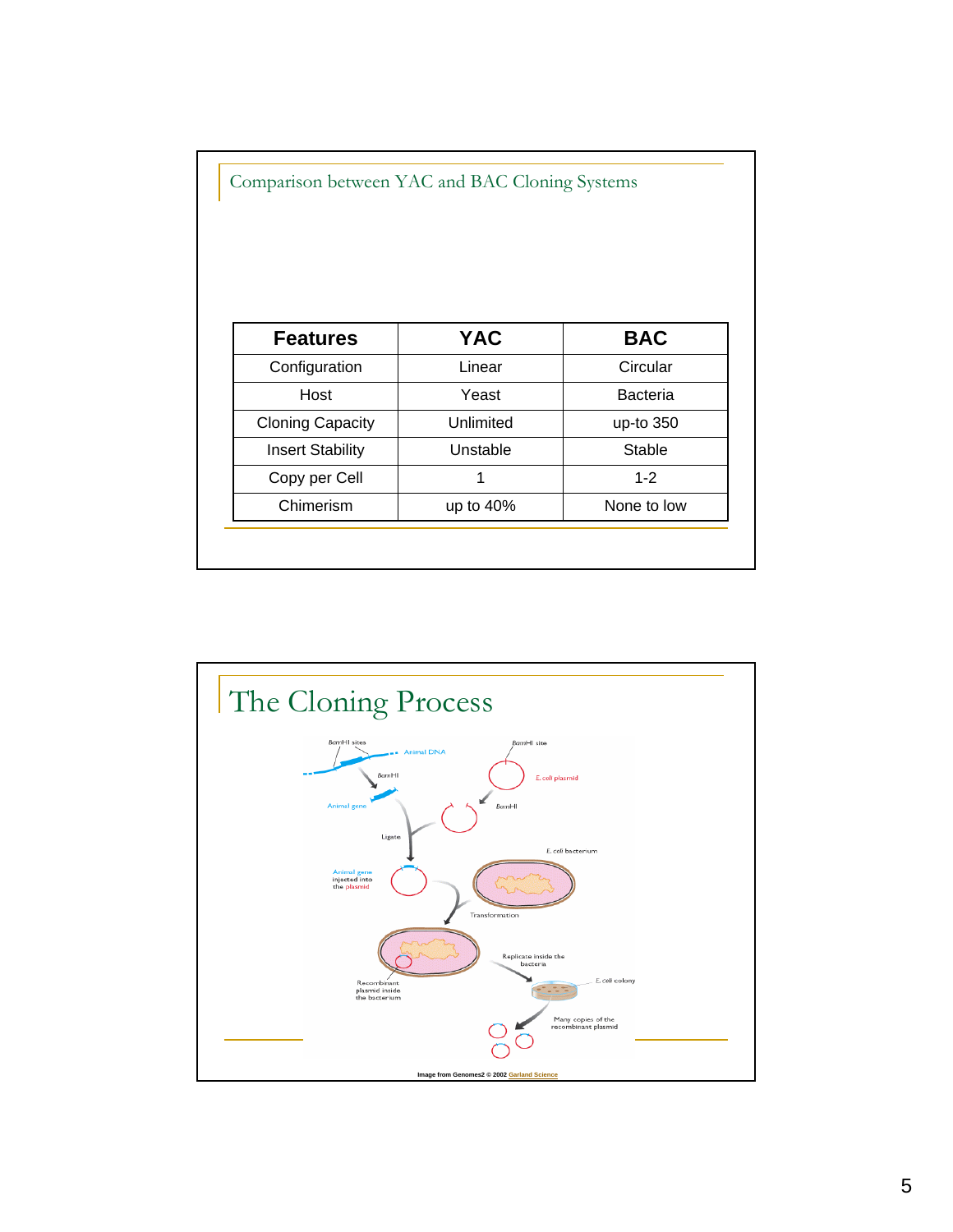| <b>Features</b>         | <b>YAC</b> | <b>BAC</b>      |  |
|-------------------------|------------|-----------------|--|
| Configuration           | Linear     | Circular        |  |
| Host                    | Yeast      | <b>Bacteria</b> |  |
| <b>Cloning Capacity</b> | Unlimited  | up-to 350       |  |
| <b>Insert Stability</b> | Unstable   | Stable          |  |
| Copy per Cell           | 1          | $1 - 2$         |  |
| Chimerism               | up to 40%  | None to low     |  |

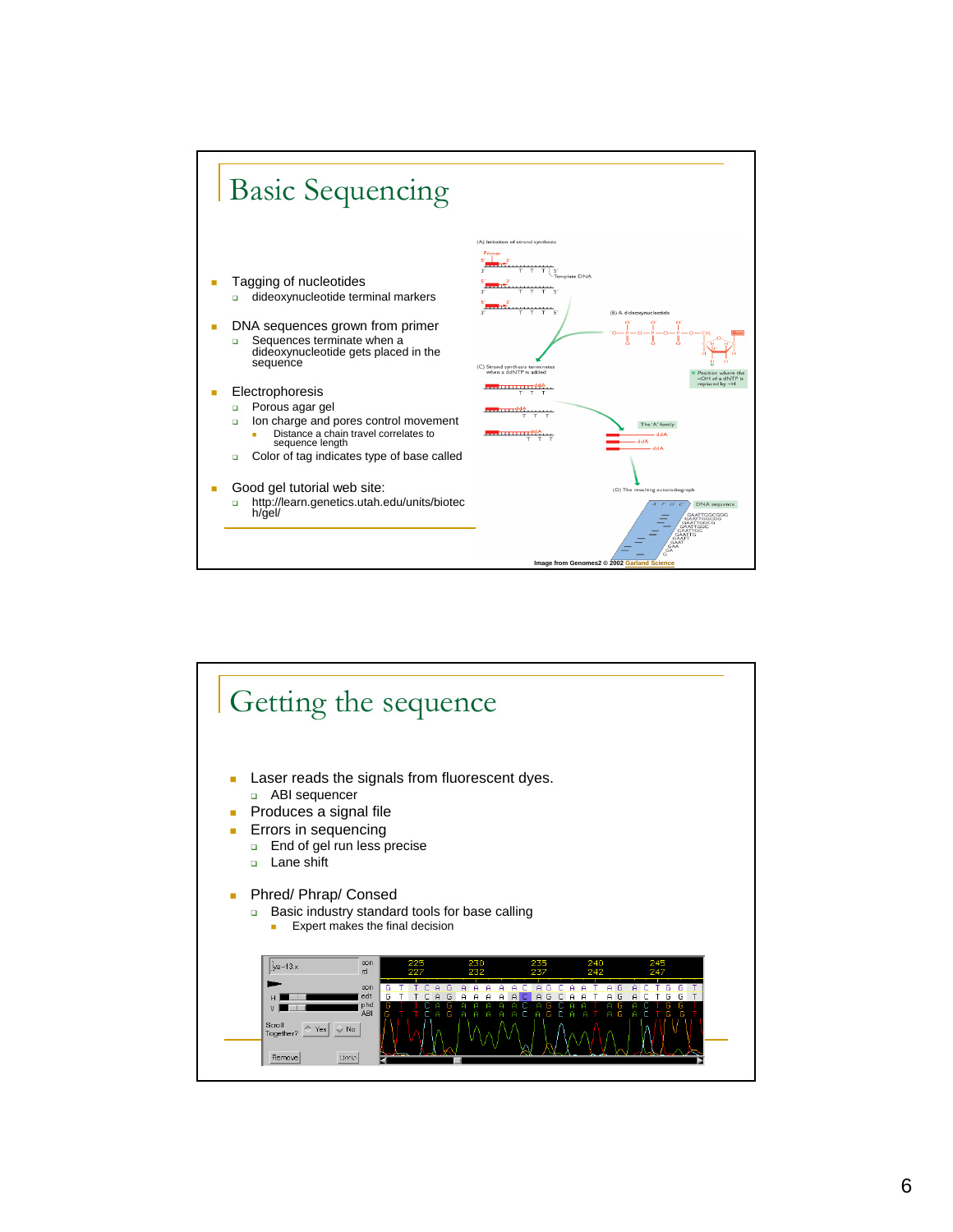

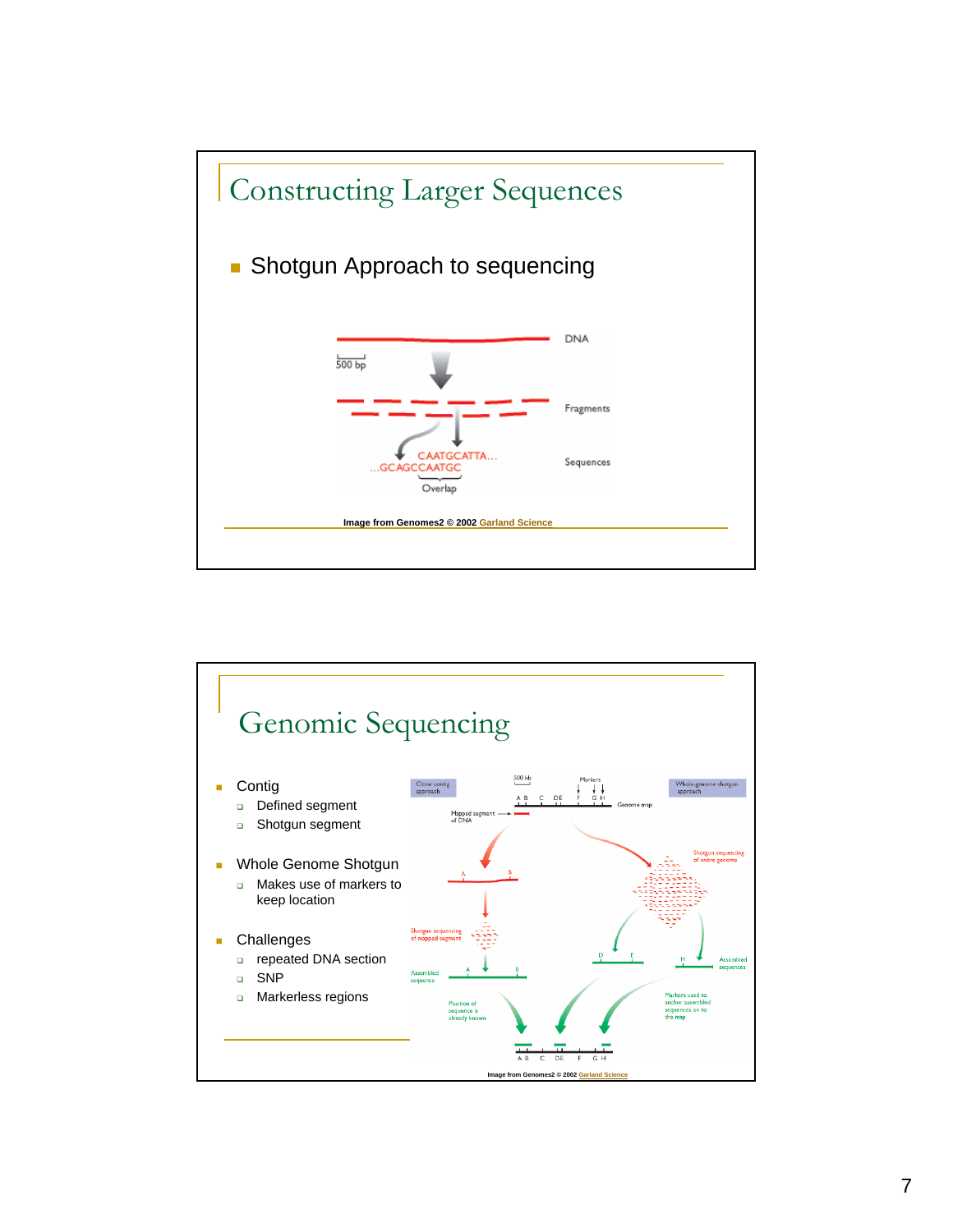

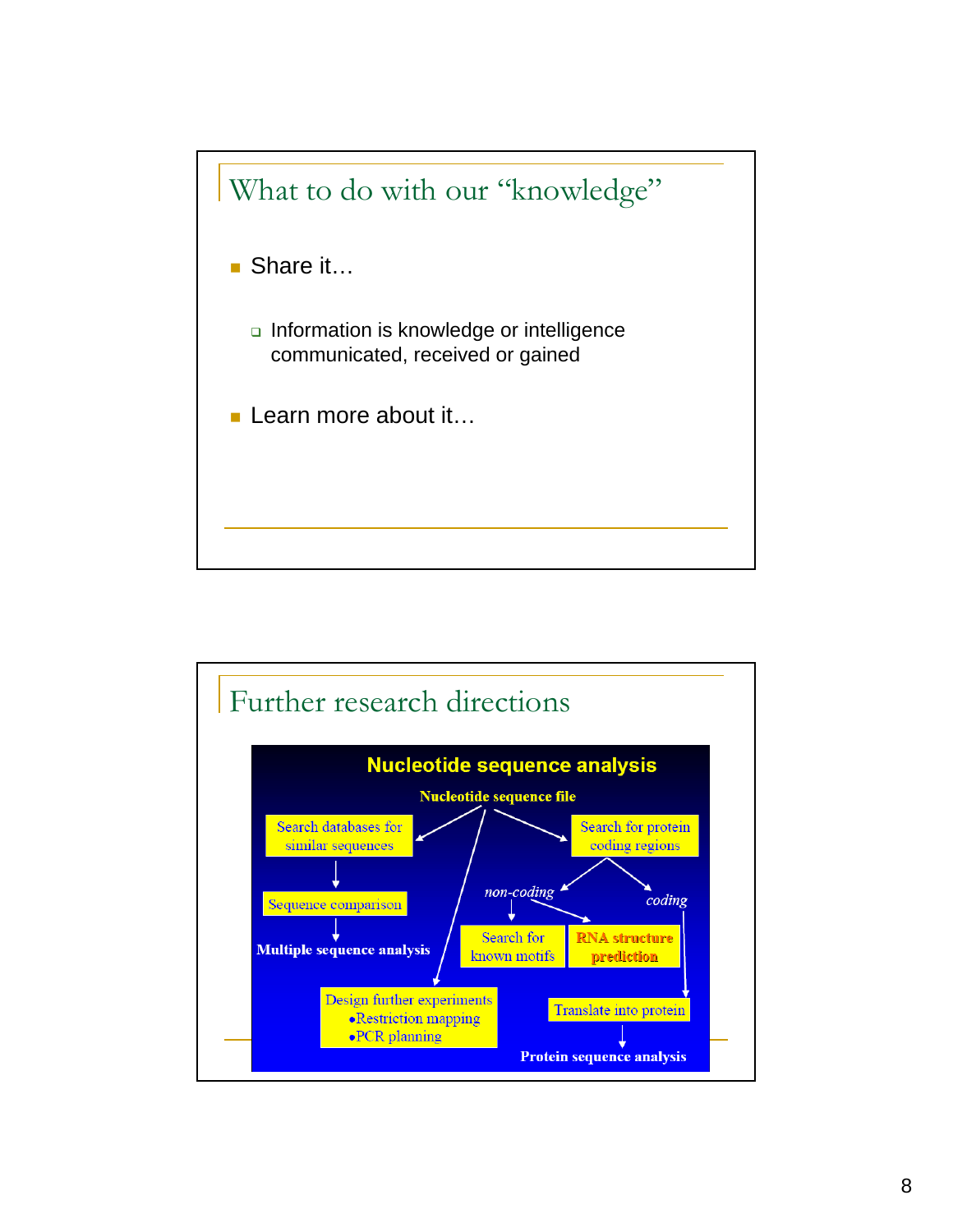

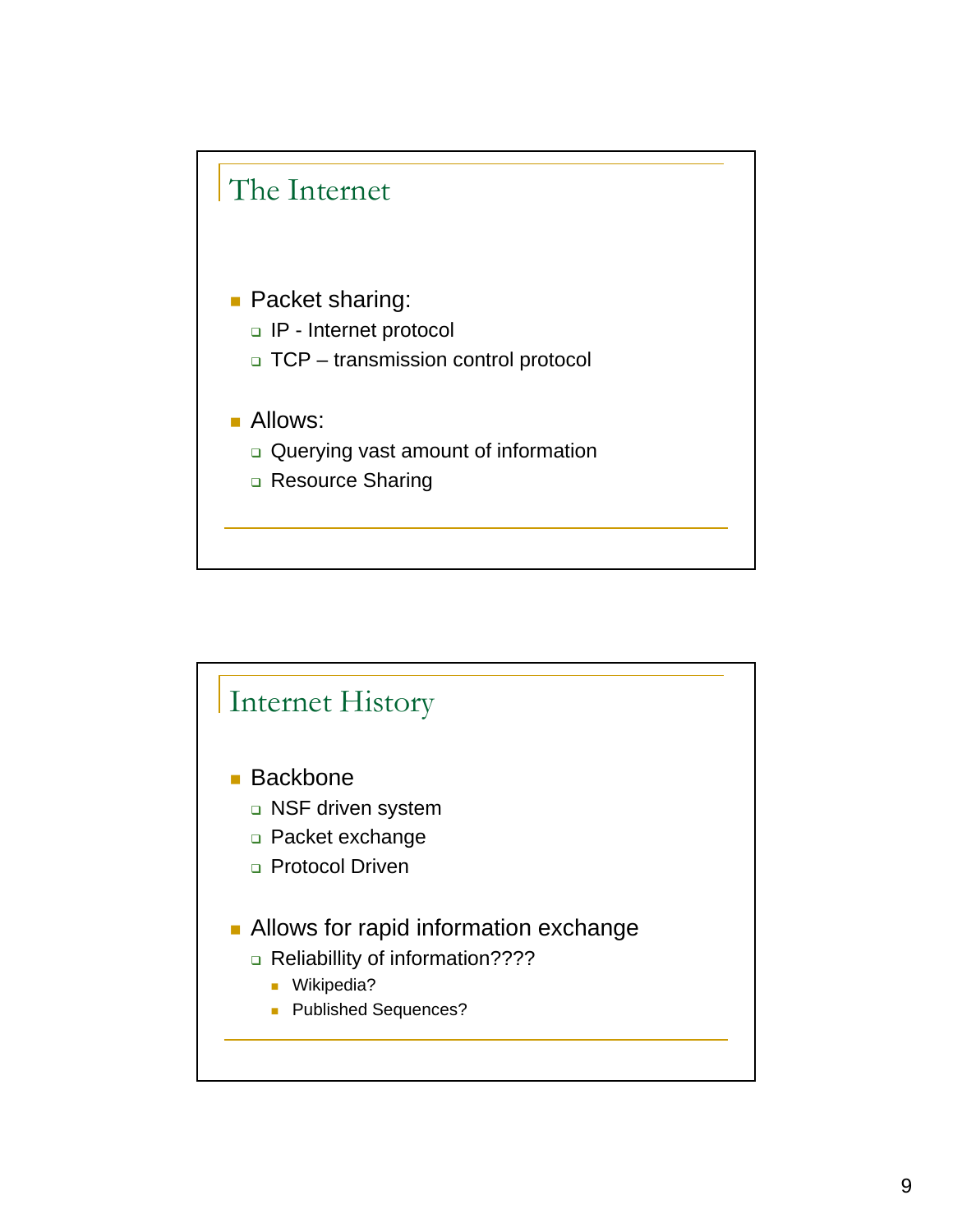

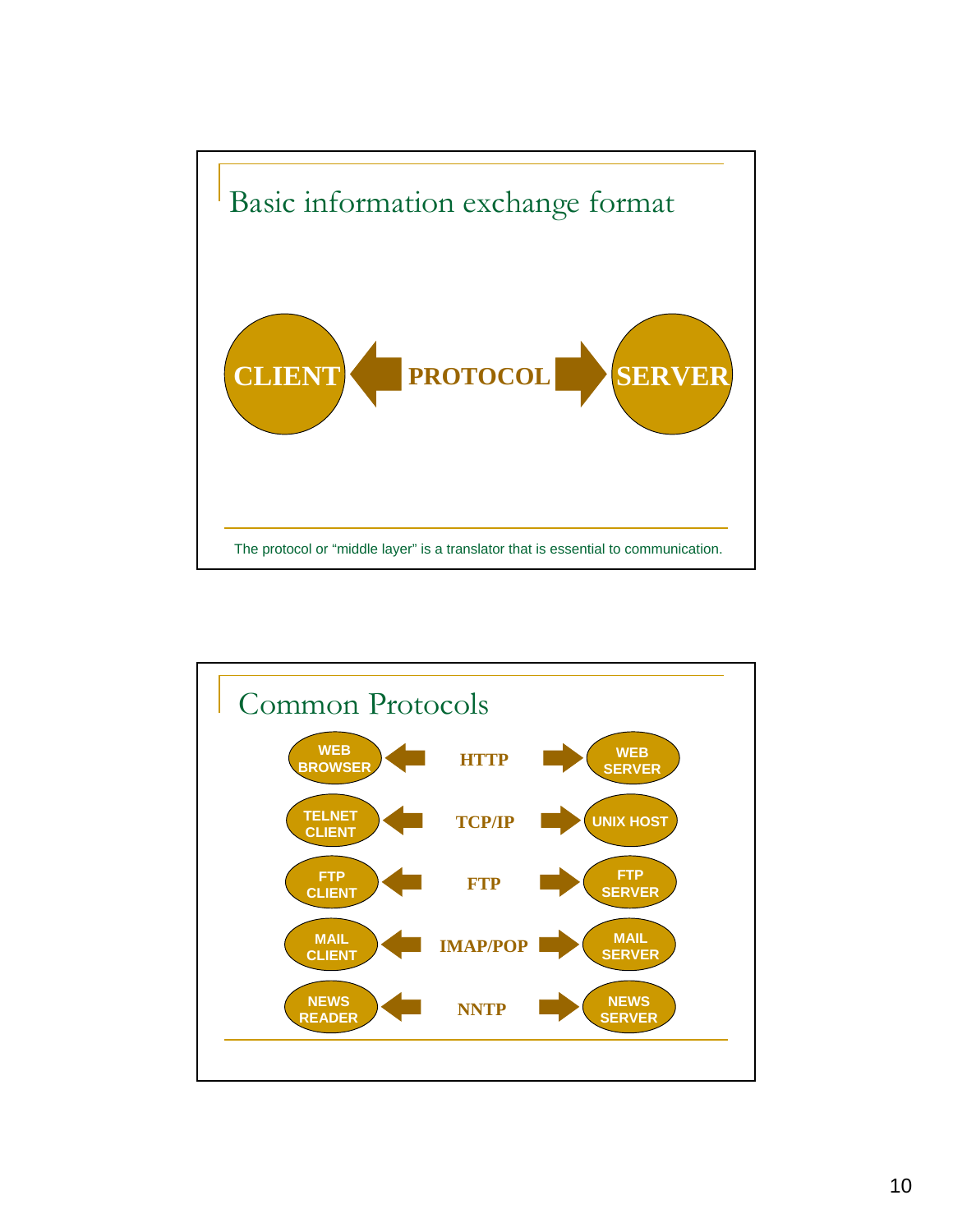

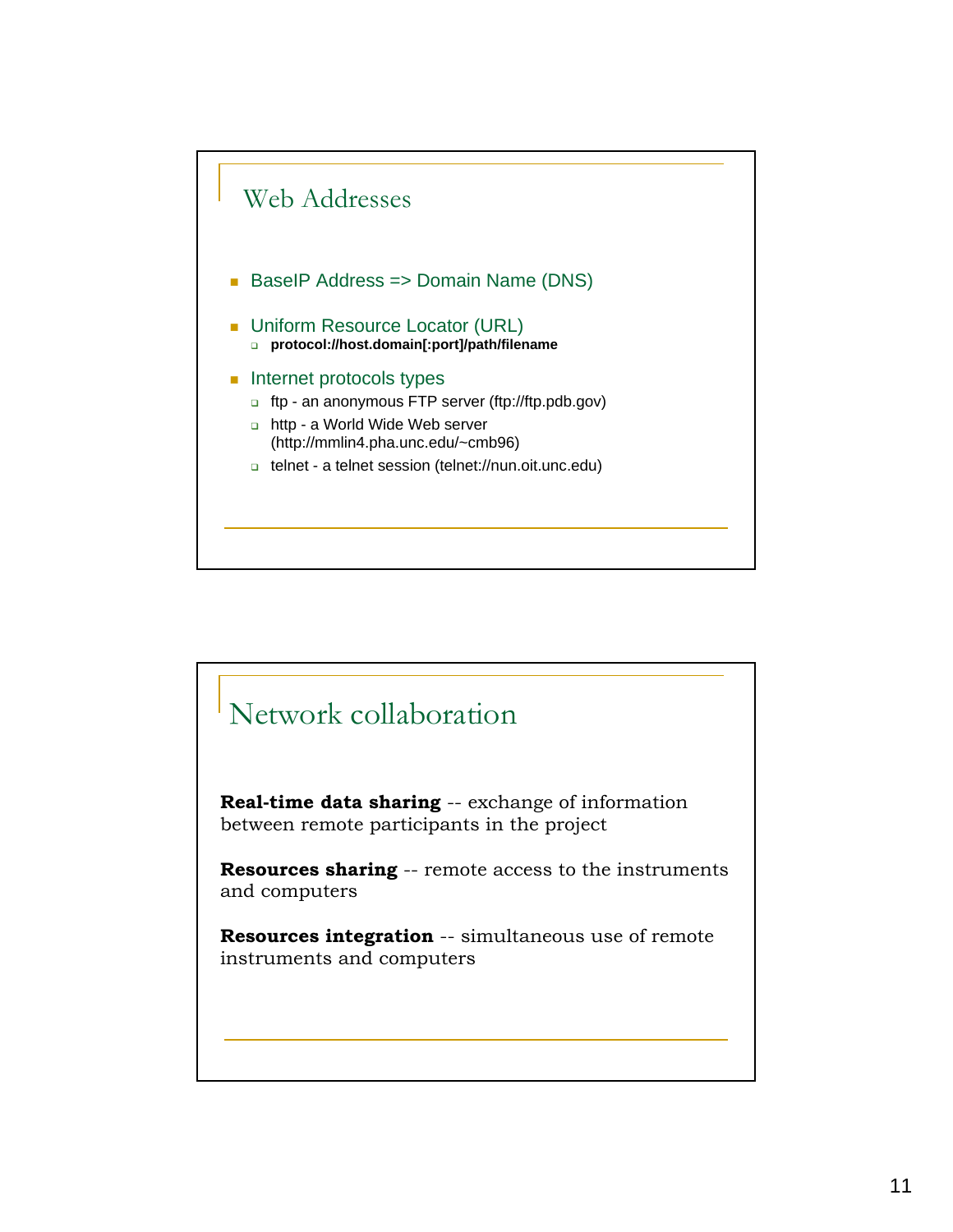

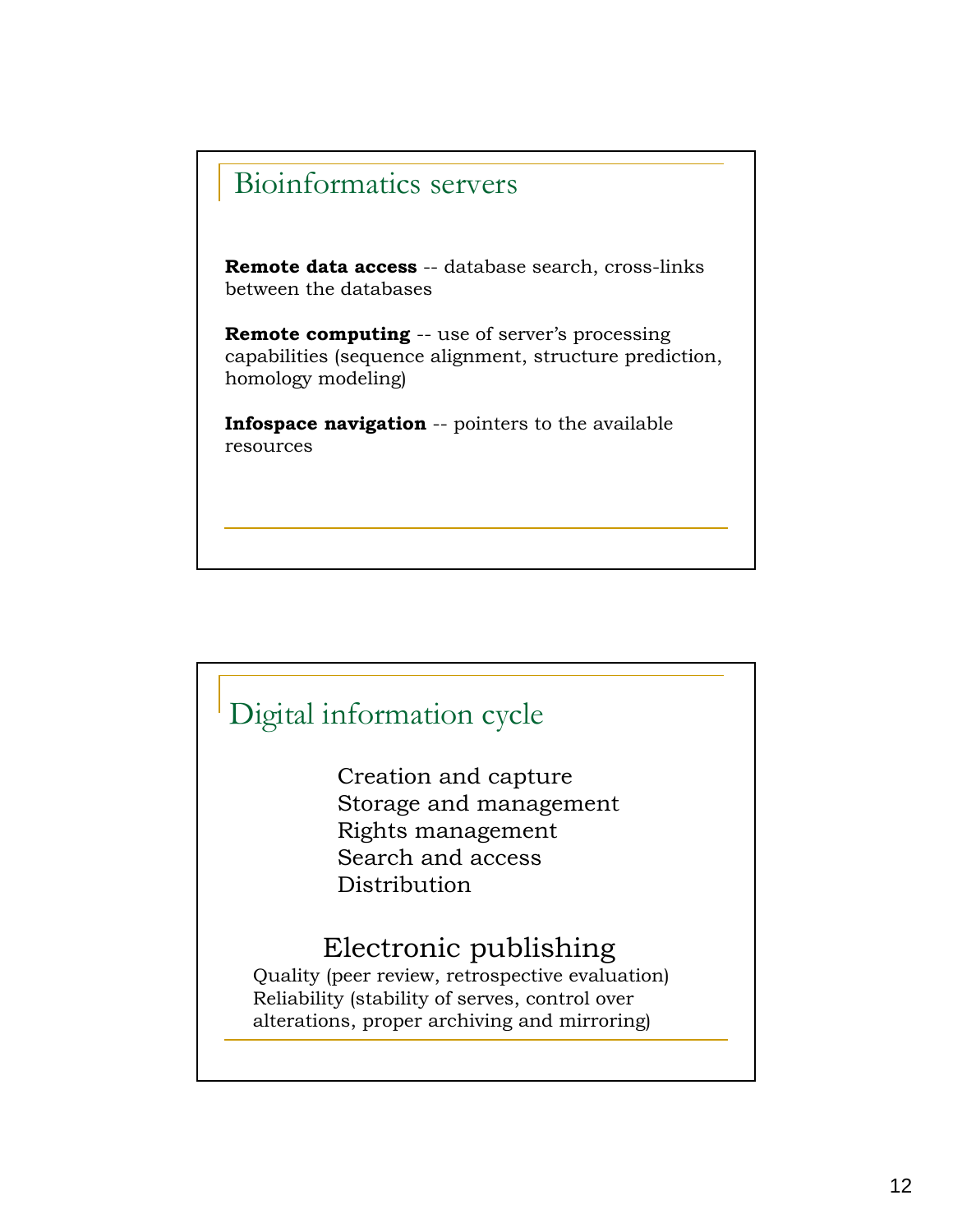## Bioinformatics servers

**Remote data access** -- database search, cross-links between the databases

**Remote computing** -- use of server's processing capabilities (sequence alignment, structure prediction, homology modeling)

**Infospace navigation** -- pointers to the available resources

## Digital information cycle

Creation and capture Storage and management Rights management Search and access Distribution

## Electronic publishing

Quality (peer review, retrospective evaluation) Reliability (stability of serves, control over alterations, proper archiving and mirroring)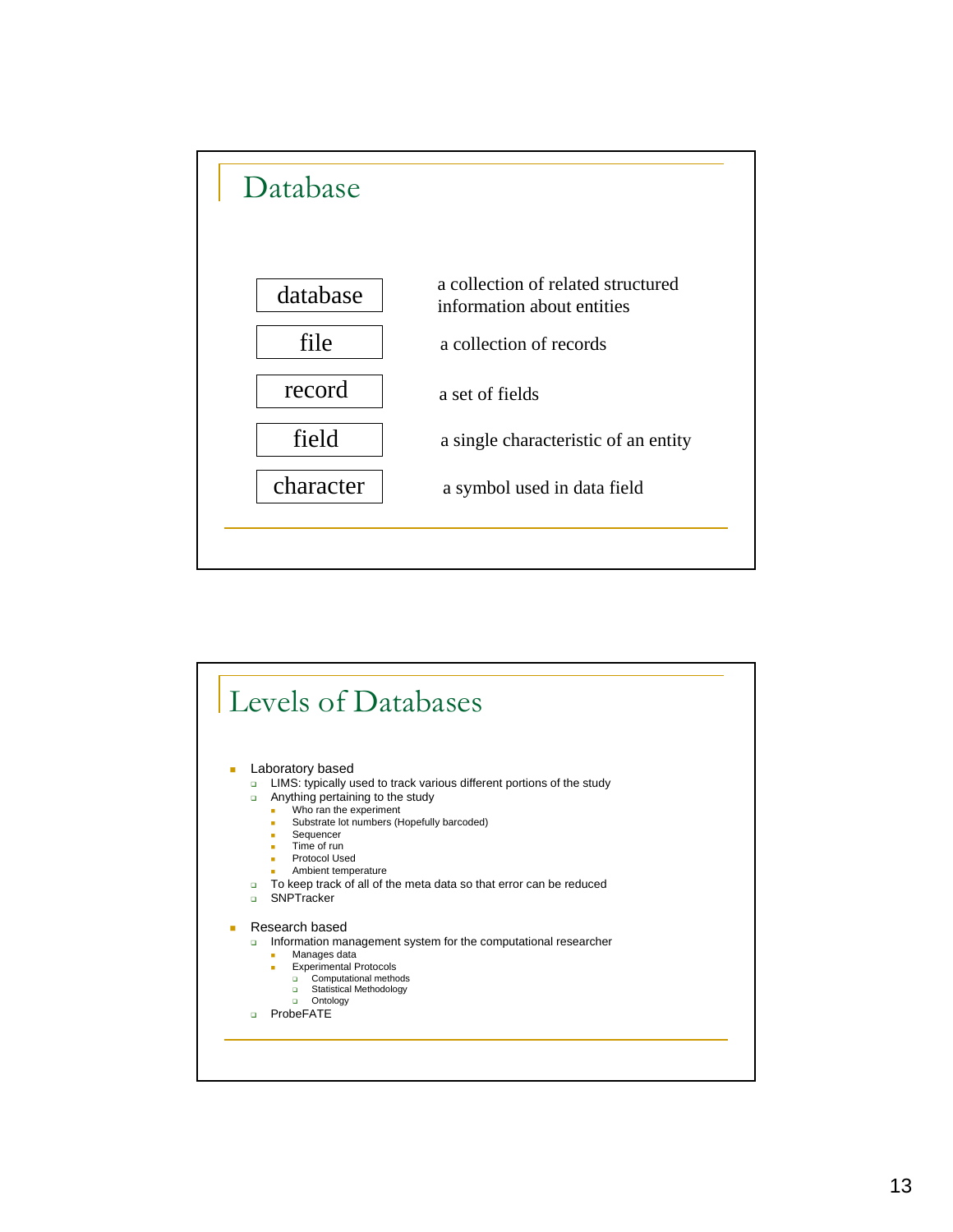

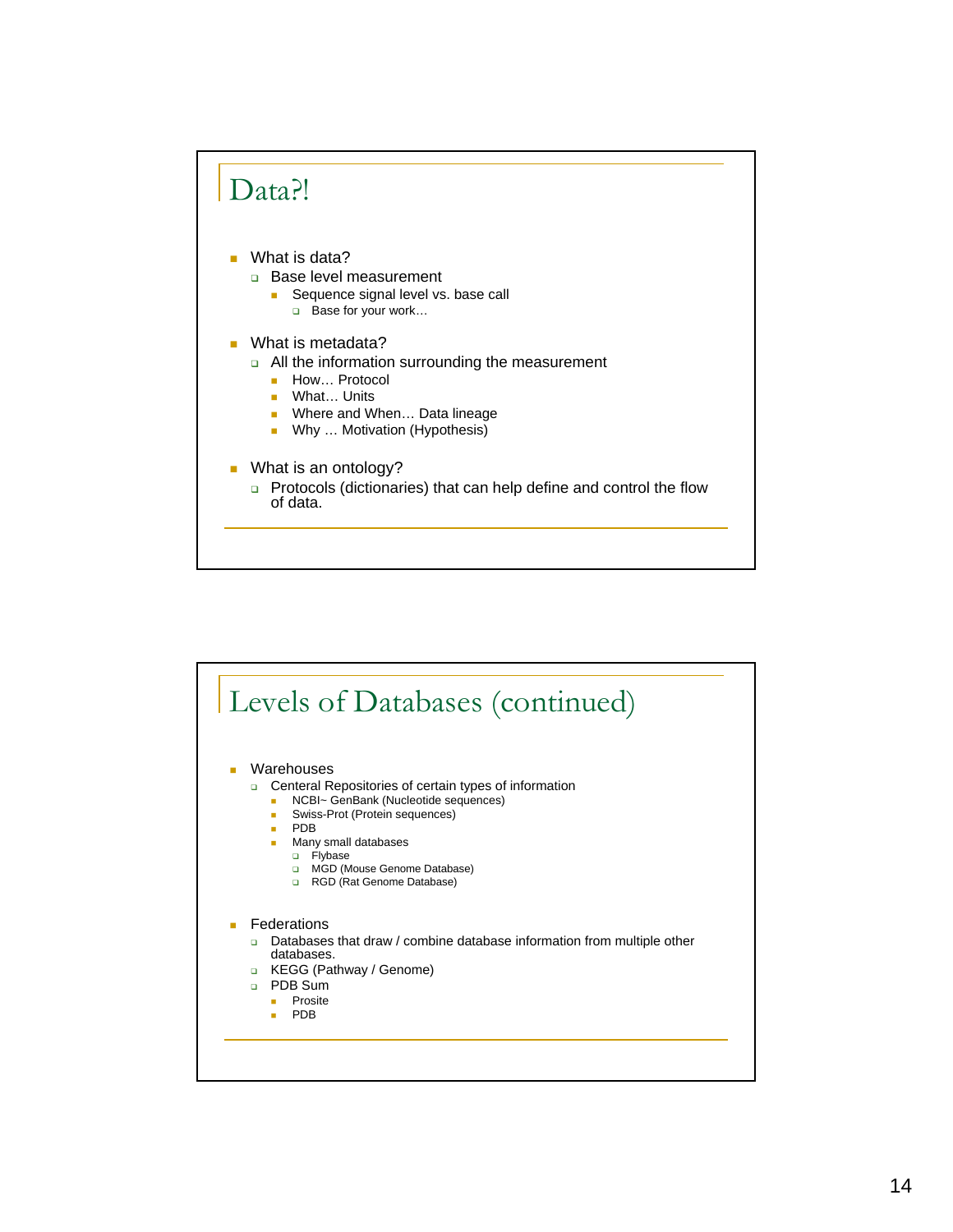

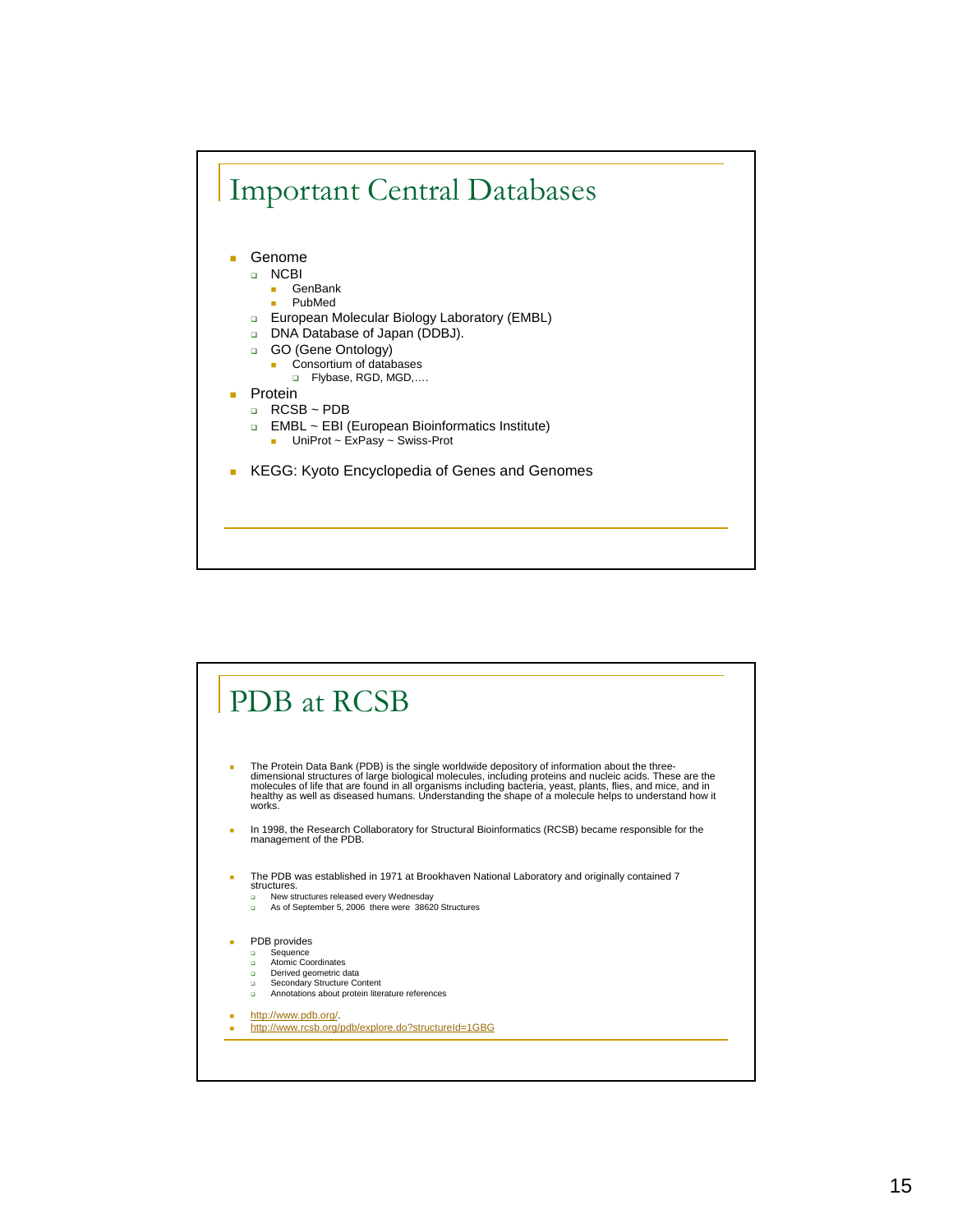

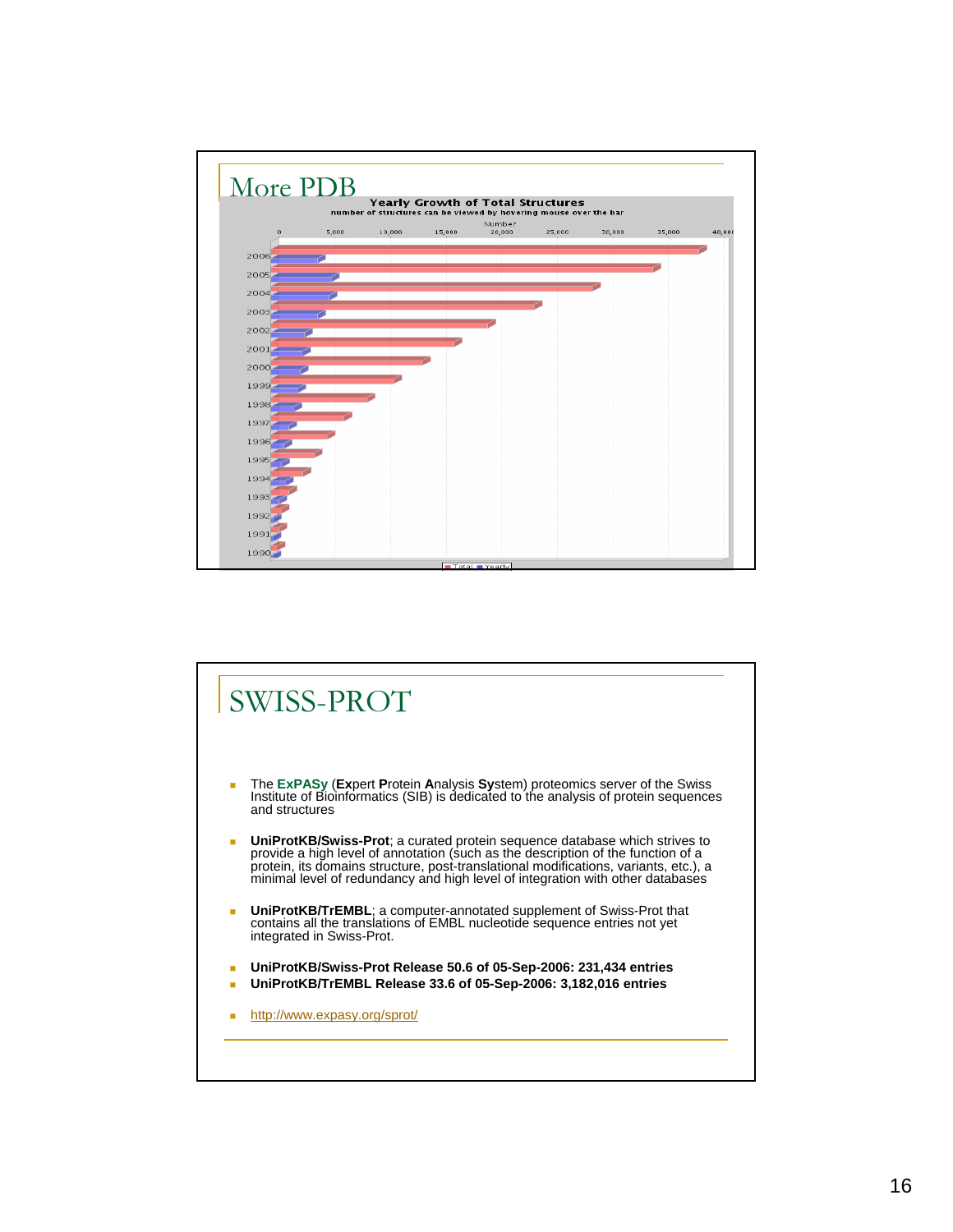

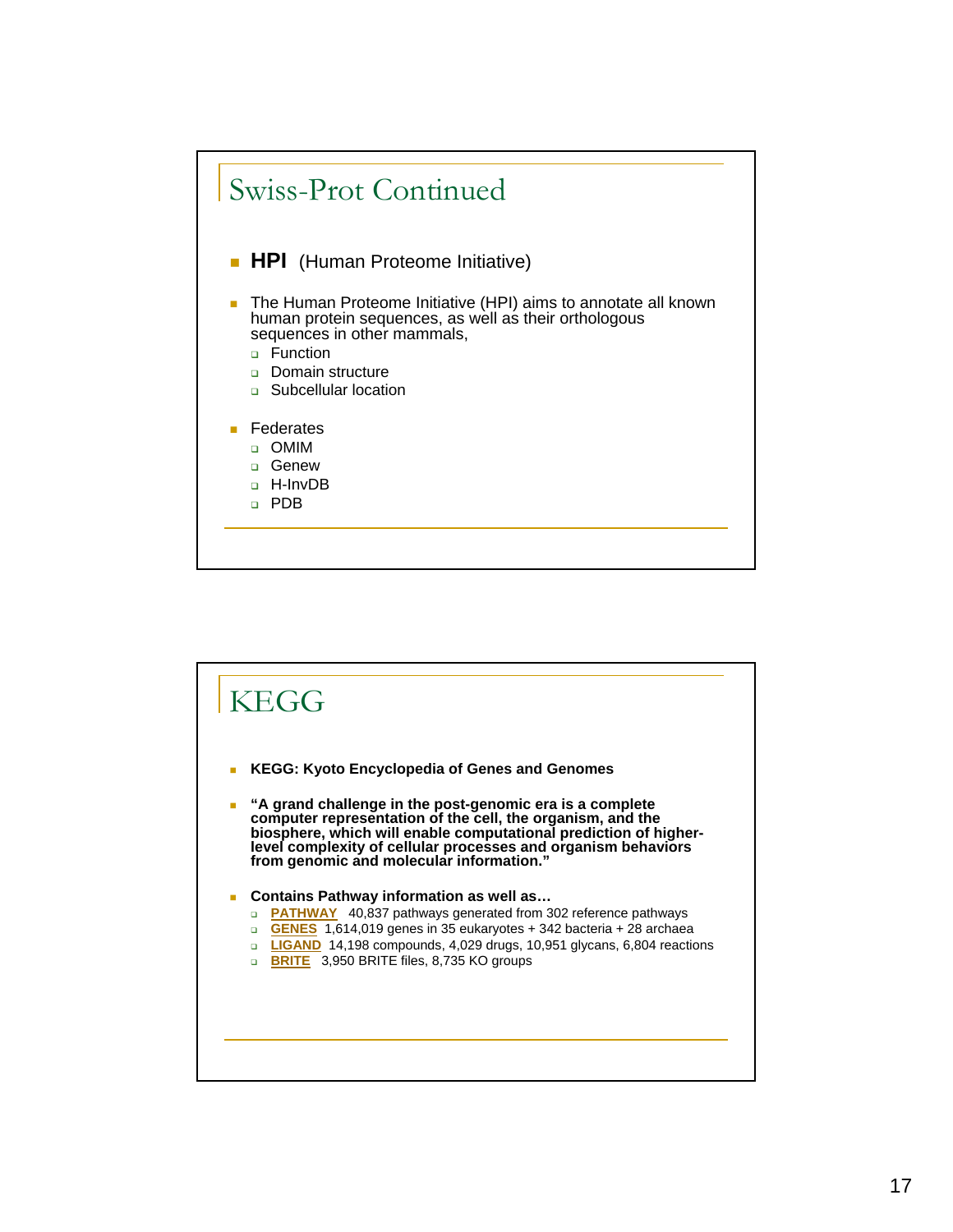

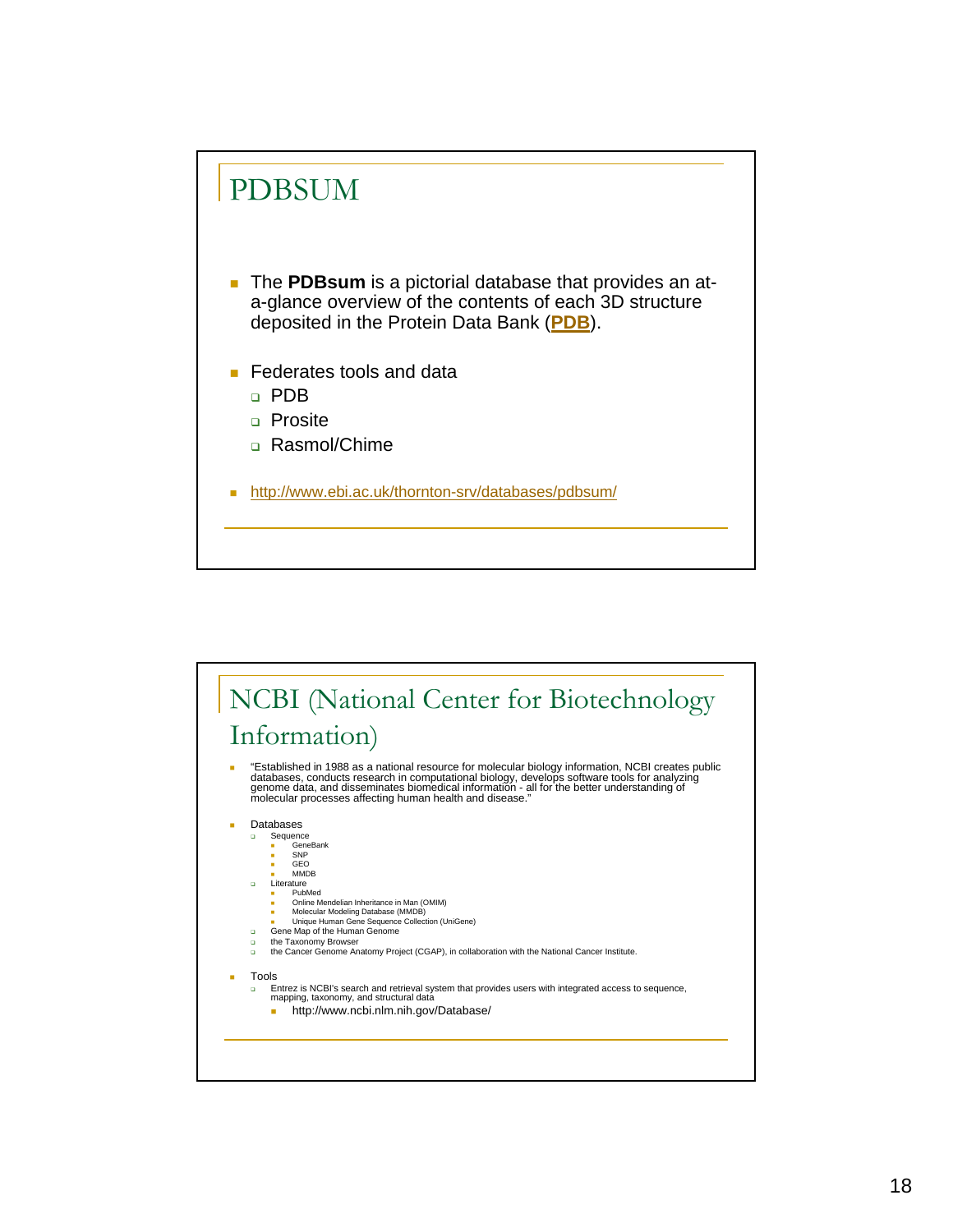

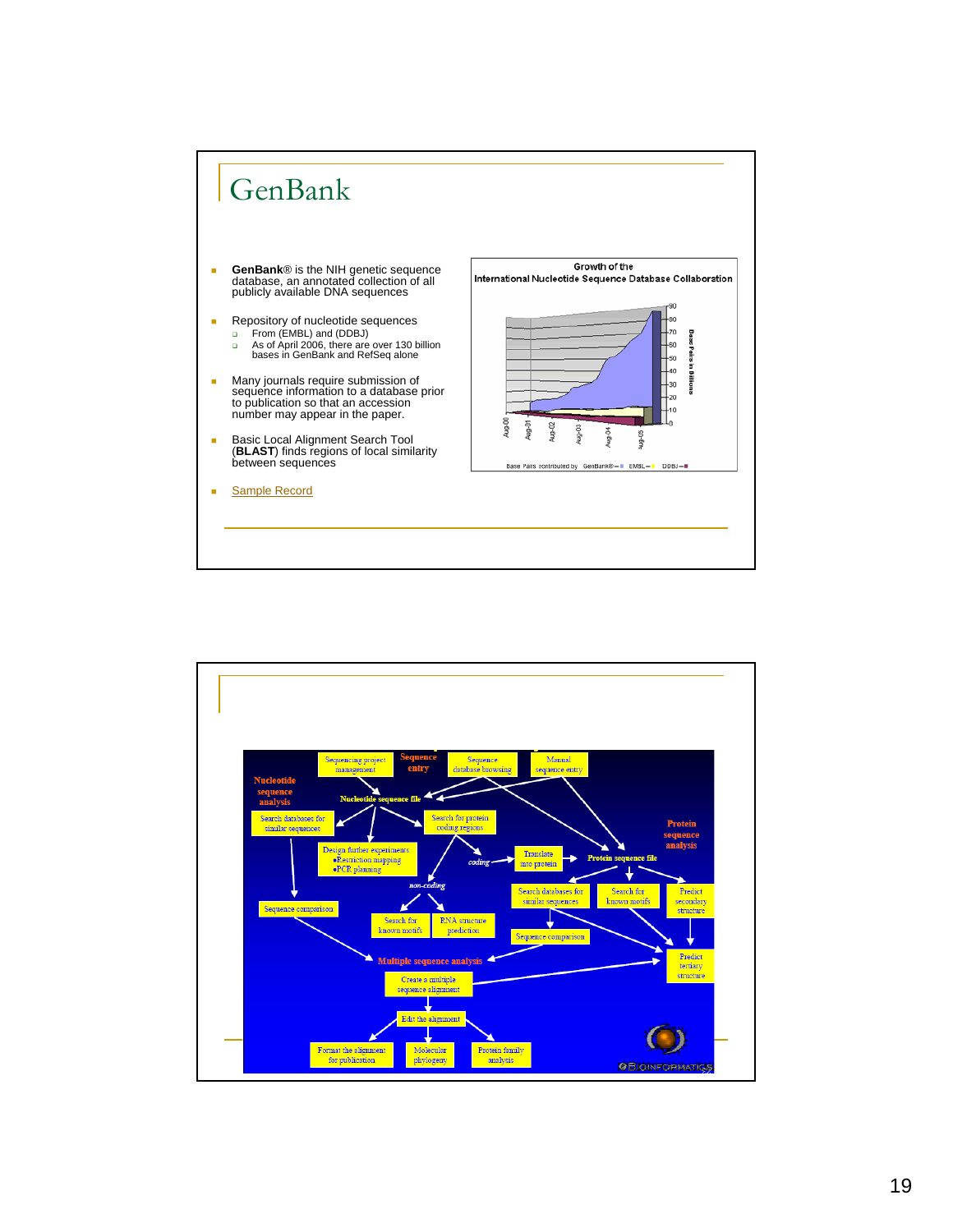

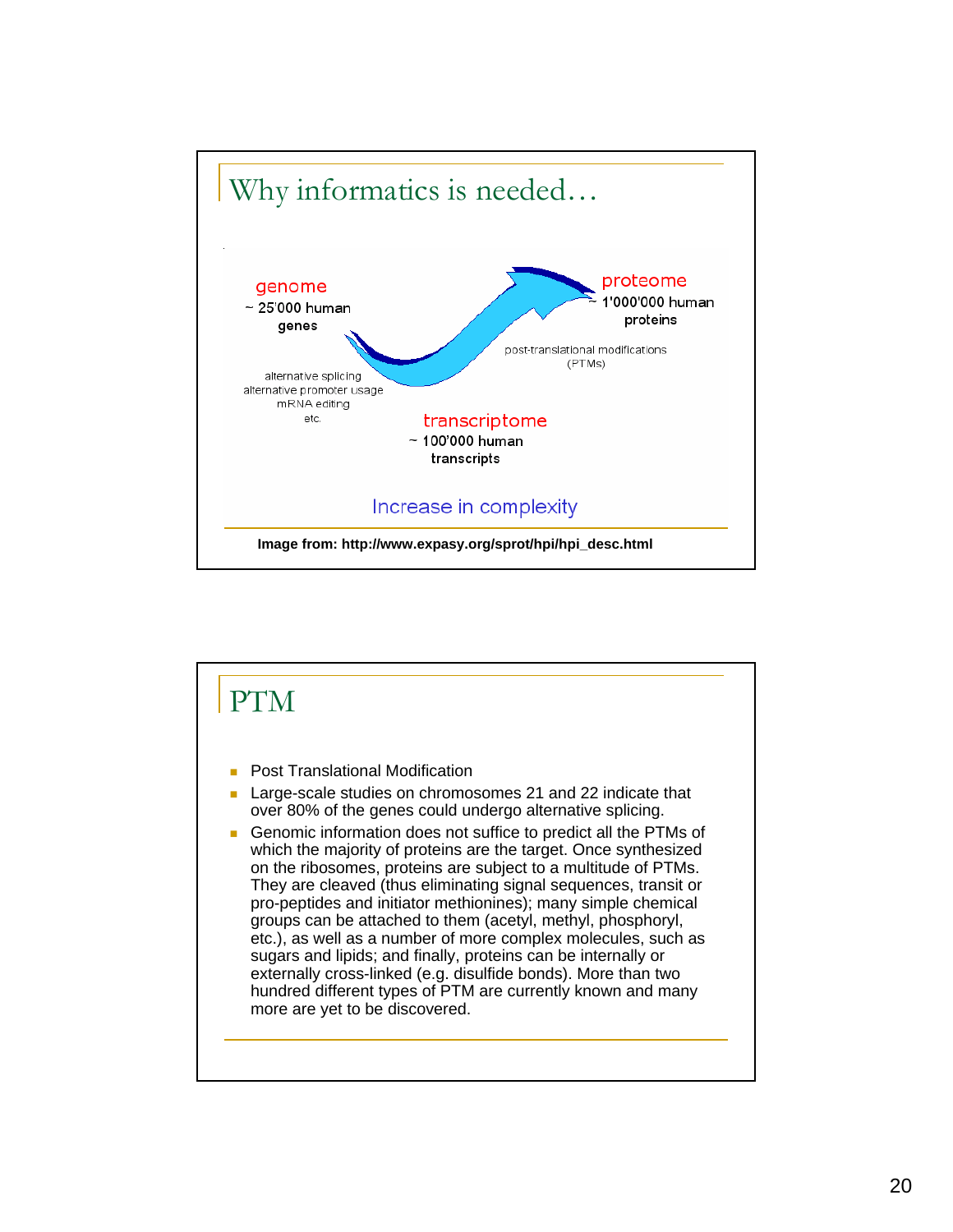

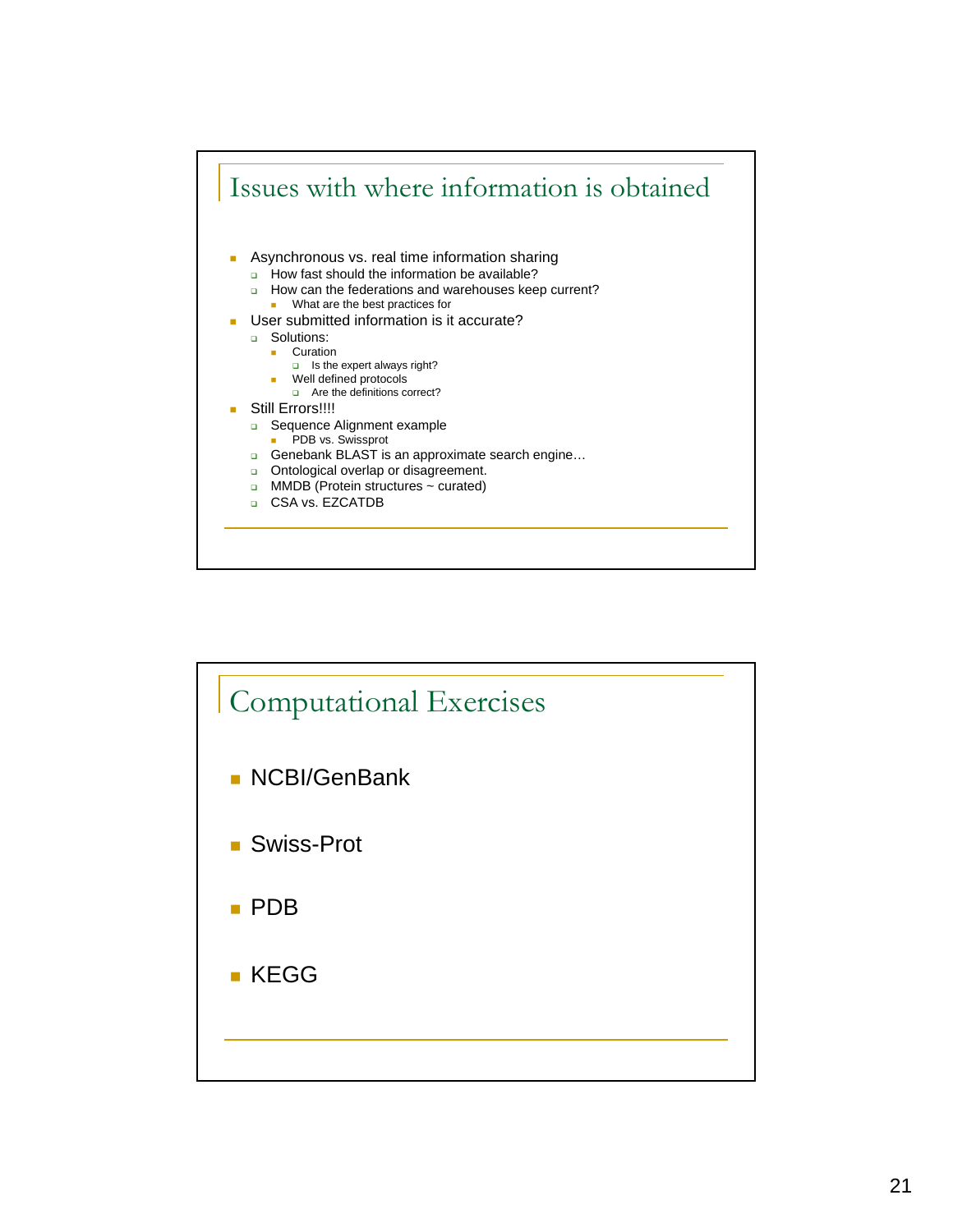